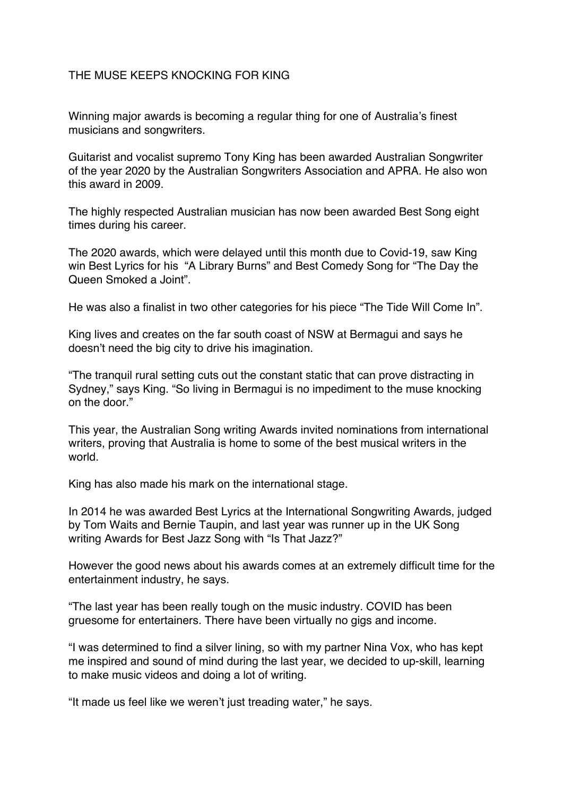## THE MUSE KEEPS KNOCKING FOR KING

Winning major awards is becoming a regular thing for one of Australia's finest musicians and songwriters.

Guitarist and vocalist supremo Tony King has been awarded Australian Songwriter of the year 2020 by the Australian Songwriters Association and APRA. He also won this award in 2009.

The highly respected Australian musician has now been awarded Best Song eight times during his career.

The 2020 awards, which were delayed until this month due to Covid-19, saw King win Best Lyrics for his "A Library Burns" and Best Comedy Song for "The Day the Queen Smoked a Joint".

He was also a finalist in two other categories for his piece "The Tide Will Come In".

King lives and creates on the far south coast of NSW at Bermagui and says he doesn't need the big city to drive his imagination.

"The tranquil rural setting cuts out the constant static that can prove distracting in Sydney," says King. "So living in Bermagui is no impediment to the muse knocking on the door."

This year, the Australian Song writing Awards invited nominations from international writers, proving that Australia is home to some of the best musical writers in the world.

King has also made his mark on the international stage.

In 2014 he was awarded Best Lyrics at the International Songwriting Awards, judged by Tom Waits and Bernie Taupin, and last year was runner up in the UK Song writing Awards for Best Jazz Song with "Is That Jazz?"

However the good news about his awards comes at an extremely difficult time for the entertainment industry, he says.

"The last year has been really tough on the music industry. COVID has been gruesome for entertainers. There have been virtually no gigs and income.

"I was determined to find a silver lining, so with my partner Nina Vox, who has kept me inspired and sound of mind during the last year, we decided to up-skill, learning to make music videos and doing a lot of writing.

"It made us feel like we weren't just treading water," he says.